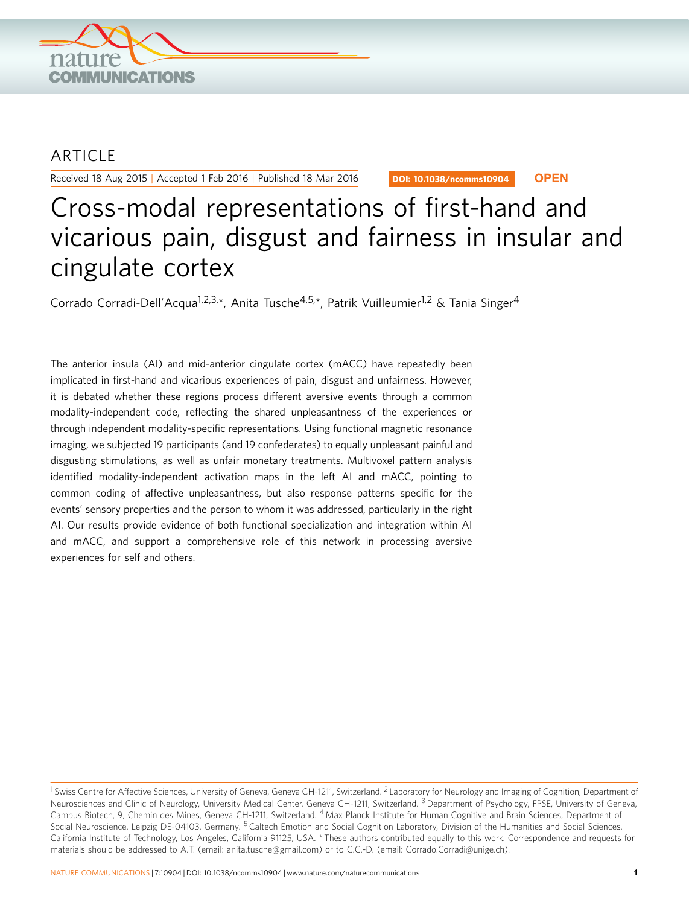

## ARTICLE

Received 18 Aug 2015 | Accepted 1 Feb 2016 | Published 18 Mar 2016

DOI: 10.1038/ncomms10904 **OPEN**

# Cross-modal representations of first-hand and vicarious pain, disgust and fairness in insular and cingulate cortex

Corrado Corradi-Dell'Acqua<sup>1,2,3,\*</sup>, Anita Tusche<sup>4,5,\*</sup>, Patrik Vuilleumier<sup>1,2</sup> & Tania Singer<sup>4</sup>

The anterior insula (AI) and mid-anterior cingulate cortex (mACC) have repeatedly been implicated in first-hand and vicarious experiences of pain, disgust and unfairness. However, it is debated whether these regions process different aversive events through a common modality-independent code, reflecting the shared unpleasantness of the experiences or through independent modality-specific representations. Using functional magnetic resonance imaging, we subjected 19 participants (and 19 confederates) to equally unpleasant painful and disgusting stimulations, as well as unfair monetary treatments. Multivoxel pattern analysis identified modality-independent activation maps in the left AI and mACC, pointing to common coding of affective unpleasantness, but also response patterns specific for the events' sensory properties and the person to whom it was addressed, particularly in the right AI. Our results provide evidence of both functional specialization and integration within AI and mACC, and support a comprehensive role of this network in processing aversive experiences for self and others.

<sup>&</sup>lt;sup>1</sup> Swiss Centre for Affective Sciences, University of Geneva, Geneva CH-1211, Switzerland. <sup>2</sup> Laboratory for Neurology and Imaging of Cognition, Department of Neurosciences and Clinic of Neurology, University Medical Center, Geneva CH-1211, Switzerland. <sup>3</sup> Department of Psychology, FPSE, University of Geneva, Campus Biotech, 9, Chemin des Mines, Geneva CH-1211, Switzerland. <sup>4</sup> Max Planck Institute for Human Cognitive and Brain Sciences, Department of Social Neuroscience, Leipzig DE-04103, Germany. <sup>5</sup> Caltech Emotion and Social Cognition Laboratory, Division of the Humanities and Social Sciences, California Institute of Technology, Los Angeles, California 91125, USA. \* These authors contributed equally to this work. Correspondence and requests for materials should be addressed to A.T. (email: [anita.tusche@gmail.com\)](mailto:anita.tusche@gmail.com) or to C.C.-D. (email: [Corrado.Corradi@unige.ch](mailto:Corrado.Corradi@unige.ch)).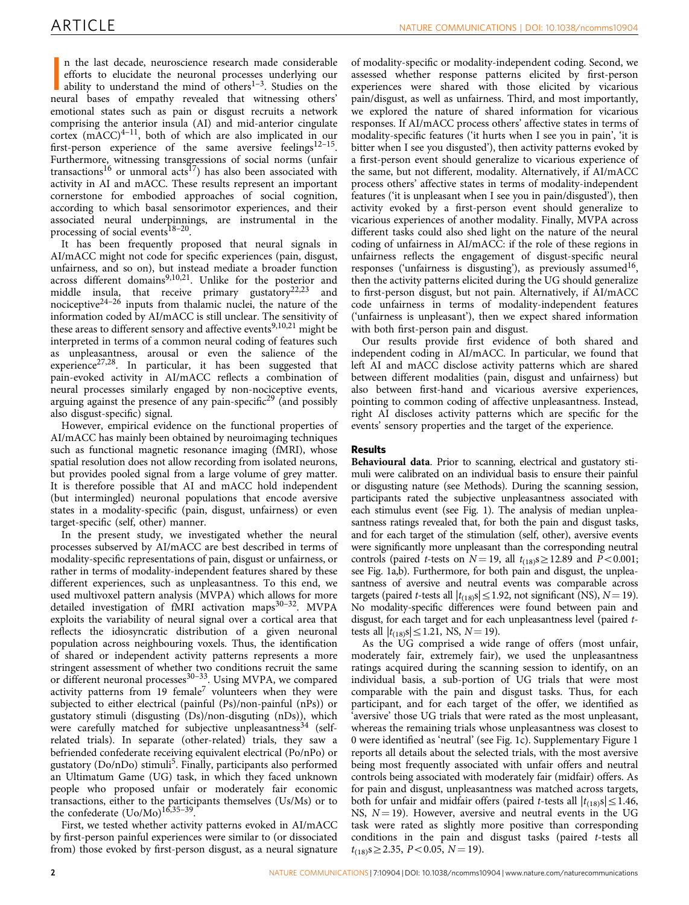n the last decade, neuroscience research made considerable<br>efforts to elucidate the neuronal processes underlying our<br>ability to understand the mind of others<sup>1-3</sup>. Studies on the<br>neural bases of empathy revealed that witn n the last decade, neuroscience research made considerable efforts to elucidate the neuronal processes underlying our ability to understand the mind of others $1-3$ . Studies on the emotional states such as pain or disgust recruits a network comprising the anterior insula (AI) and mid-anterior cingulate cortex  $(mACC)^{4-11}$ , both of which are also implicated in our first-person experience of the same aversive feelings<sup>12–15</sup>. Furthermore, witnessing transgressions of social norms (unfair transactions<sup>16</sup> or unmoral acts<sup>[17](#page-9-0)</sup>) has also been associated with activity in AI and mACC. These results represent an important cornerstone for embodied approaches of social cognition, according to which basal sensorimotor experiences, and their associated neural underpinnings, are instrumental in the processing of social events<sup>18-20</sup>.

It has been frequently proposed that neural signals in AI/mACC might not code for specific experiences (pain, disgust, unfairness, and so on), but instead mediate a broader function across different domains<sup>[9,10,21](#page-9-0)</sup>. Unlike for the posterior and middle insula, that receive primary gustatory<sup>[22,23](#page-10-0)</sup> and nociceptive<sup>24–26</sup> inputs from thalamic nuclei, the nature of the information coded by AI/mACC is still unclear. The sensitivity of these areas to different sensory and affective events<sup>[9,10,21](#page-9-0)</sup> might be interpreted in terms of a common neural coding of features such as unpleasantness, arousal or even the salience of the experience<sup>27,28</sup>. In particular, it has been suggested that pain-evoked activity in AI/mACC reflects a combination of neural processes similarly engaged by non-nociceptive events, arguing against the presence of any pain-specific<sup>[29](#page-10-0)</sup> (and possibly also disgust-specific) signal.

However, empirical evidence on the functional properties of AI/mACC has mainly been obtained by neuroimaging techniques such as functional magnetic resonance imaging (fMRI), whose spatial resolution does not allow recording from isolated neurons, but provides pooled signal from a large volume of grey matter. It is therefore possible that AI and mACC hold independent (but intermingled) neuronal populations that encode aversive states in a modality-specific (pain, disgust, unfairness) or even target-specific (self, other) manner.

In the present study, we investigated whether the neural processes subserved by AI/mACC are best described in terms of modality-specific representations of pain, disgust or unfairness, or rather in terms of modality-independent features shared by these different experiences, such as unpleasantness. To this end, we used multivoxel pattern analysis (MVPA) which allows for more detailed investigation of fMRI activation maps $30-32$ . MVPA exploits the variability of neural signal over a cortical area that reflects the idiosyncratic distribution of a given neuronal population across neighbouring voxels. Thus, the identification of shared or independent activity patterns represents a more stringent assessment of whether two conditions recruit the same or different neuronal processes $30-33$ . Using MVPA, we compared activity patterns from 19 female<sup>[7](#page-9-0)</sup> volunteers when they were subjected to either electrical (painful (Ps)/non-painful (nPs)) or gustatory stimuli (disgusting (Ds)/non-disguting (nDs)), which were carefully matched for subjective unpleasantness<sup>[34](#page-10-0)</sup> (selfrelated trials). In separate (other-related) trials, they saw a befriended confederate receiving equivalent electrical (Po/nPo) or gustatory (Do/nDo) stimuli<sup>5</sup>. Finally, participants also performed an Ultimatum Game (UG) task, in which they faced unknown people who proposed unfair or moderately fair economic transactions, either to the participants themselves (Us/Ms) or to the confederate  $($ Uo/Mo $)$ <sup>16,35-39</sup>.

First, we tested whether activity patterns evoked in AI/mACC by first-person painful experiences were similar to (or dissociated from) those evoked by first-person disgust, as a neural signature

of modality-specific or modality-independent coding. Second, we assessed whether response patterns elicited by first-person experiences were shared with those elicited by vicarious pain/disgust, as well as unfairness. Third, and most importantly, we explored the nature of shared information for vicarious responses. If AI/mACC process others' affective states in terms of modality-specific features ('it hurts when I see you in pain', 'it is bitter when I see you disgusted'), then activity patterns evoked by a first-person event should generalize to vicarious experience of the same, but not different, modality. Alternatively, if AI/mACC process others' affective states in terms of modality-independent features ('it is unpleasant when I see you in pain/disgusted'), then activity evoked by a first-person event should generalize to vicarious experiences of another modality. Finally, MVPA across different tasks could also shed light on the nature of the neural coding of unfairness in AI/mACC: if the role of these regions in unfairness reflects the engagement of disgust-specific neural responses ('unfairness is disgusting'), as previously assumed<sup>16</sup>, then the activity patterns elicited during the UG should generalize to first-person disgust, but not pain. Alternatively, if AI/mACC code unfairness in terms of modality-independent features ('unfairness is unpleasant'), then we expect shared information with both first-person pain and disgust.

Our results provide first evidence of both shared and independent coding in AI/mACC. In particular, we found that left AI and mACC disclose activity patterns which are shared between different modalities (pain, disgust and unfairness) but also between first-hand and vicarious aversive experiences, pointing to common coding of affective unpleasantness. Instead, right AI discloses activity patterns which are specific for the events' sensory properties and the target of the experience.

### Results

Behavioural data. Prior to scanning, electrical and gustatory stimuli were calibrated on an individual basis to ensure their painful or disgusting nature (see Methods). During the scanning session, participants rated the subjective unpleasantness associated with each stimulus event (see [Fig. 1\)](#page-2-0). The analysis of median unpleasantness ratings revealed that, for both the pain and disgust tasks, and for each target of the stimulation (self, other), aversive events were significantly more unpleasant than the corresponding neutral controls (paired *t*-tests on  $N = 19$ , all  $t_{(18)}s \ge 12.89$  and  $P < 0.001$ ; see [Fig. 1a,b\)](#page-2-0). Furthermore, for both pain and disgust, the unpleasantness of aversive and neutral events was comparable across targets (paired *t*-tests all  $|t_{(18)}s| \le 1.92$ , not significant (NS), *N* = 19). No modality-specific differences were found between pain and disgust, for each target and for each unpleasantness level (paired ttests all  $|t_{(18)}s| \le 1.21$ , NS,  $N = 19$ ).

As the UG comprised a wide range of offers (most unfair, moderately fair, extremely fair), we used the unpleasantness ratings acquired during the scanning session to identify, on an individual basis, a sub-portion of UG trials that were most comparable with the pain and disgust tasks. Thus, for each participant, and for each target of the offer, we identified as 'aversive' those UG trials that were rated as the most unpleasant, whereas the remaining trials whose unpleasantness was closest to 0 were identified as 'neutral' (see [Fig. 1c\)](#page-2-0). Supplementary Figure 1 reports all details about the selected trials, with the most aversive being most frequently associated with unfair offers and neutral controls being associated with moderately fair (midfair) offers. As for pain and disgust, unpleasantness was matched across targets, both for unfair and midfair offers (paired *t*-tests all  $|t_{(18)}s| \leq 1.46$ , NS,  $N = 19$ ). However, aversive and neutral events in the UG task were rated as slightly more positive than corresponding conditions in the pain and disgust tasks (paired t-tests all  $t_{(18)}$ s $\geq$ 2.35, P $<$ 0.05, N  $=$  19).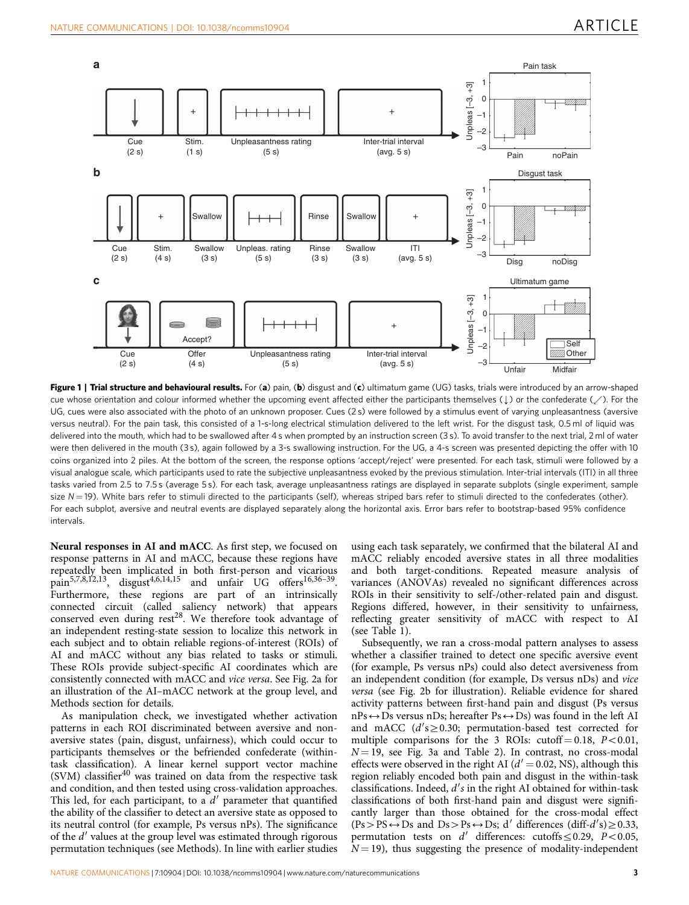<span id="page-2-0"></span>

Figure 1 | Trial structure and behavioural results. For (a) pain, (b) disgust and (c) ultimatum game (UG) tasks, trials were introduced by an arrow-shaped cue whose orientation and colour informed whether the upcoming event affected either the participants themselves ( $\downarrow$ ) or the confederate ( $\swarrow$ ). For the UG, cues were also associated with the photo of an unknown proposer. Cues (2 s) were followed by a stimulus event of varying unpleasantness (aversive versus neutral). For the pain task, this consisted of a 1-s-long electrical stimulation delivered to the left wrist. For the disgust task, 0.5 ml of liquid was delivered into the mouth, which had to be swallowed after 4 s when prompted by an instruction screen (3 s). To avoid transfer to the next trial, 2 ml of water were then delivered in the mouth (3s), again followed by a 3-s swallowing instruction. For the UG, a 4-s screen was presented depicting the offer with 10 coins organized into 2 piles. At the bottom of the screen, the response options 'accept/reject' were presented. For each task, stimuli were followed by a visual analogue scale, which participants used to rate the subjective unpleasantness evoked by the previous stimulation. Inter-trial intervals (ITI) in all three tasks varied from 2.5 to 7.5 s (average 5 s). For each task, average unpleasantness ratings are displayed in separate subplots (single experiment, sample size  $N=19$ ). White bars refer to stimuli directed to the participants (self), whereas striped bars refer to stimuli directed to the confederates (other). For each subplot, aversive and neutral events are displayed separately along the horizontal axis. Error bars refer to bootstrap-based 95% confidence intervals.

Neural responses in AI and mACC. As first step, we focused on response patterns in AI and mACC, because these regions have repeatedly been implicated in both first-person and vicarious  $p_{\text{ain}}^{5,7,8,12,13}$  $p_{\text{ain}}^{5,7,8,12,13}$  $p_{\text{ain}}^{5,7,8,12,13}$ , disgust<sup>4,6,14,15</sup> and unfair UG offers<sup>16,36–39</sup>. Furthermore, these regions are part of an intrinsically connected circuit (called saliency network) that appears conserved even during  $rest^{28}$  $rest^{28}$  $rest^{28}$ . We therefore took advantage of an independent resting-state session to localize this network in each subject and to obtain reliable regions-of-interest (ROIs) of AI and mACC without any bias related to tasks or stimuli. These ROIs provide subject-specific AI coordinates which are consistently connected with mACC and vice versa. See [Fig. 2a](#page-3-0) for an illustration of the AI–mACC network at the group level, and Methods section for details.

As manipulation check, we investigated whether activation patterns in each ROI discriminated between aversive and nonaversive states (pain, disgust, unfairness), which could occur to participants themselves or the befriended confederate (withintask classification). A linear kernel support vector machine (SVM) classifier $40$  was trained on data from the respective task and condition, and then tested using cross-validation approaches. This led, for each participant, to a  $d'$  parameter that quantified the ability of the classifier to detect an aversive state as opposed to its neutral control (for example, Ps versus nPs). The significance of the  $d'$  values at the group level was estimated through rigorous permutation techniques (see Methods). In line with earlier studies

using each task separately, we confirmed that the bilateral AI and mACC reliably encoded aversive states in all three modalities and both target-conditions. Repeated measure analysis of variances (ANOVAs) revealed no significant differences across ROIs in their sensitivity to self-/other-related pain and disgust. Regions differed, however, in their sensitivity to unfairness, reflecting greater sensitivity of mACC with respect to AI (see [Table 1](#page-4-0)).

Subsequently, we ran a cross-modal pattern analyses to assess whether a classifier trained to detect one specific aversive event (for example, Ps versus nPs) could also detect aversiveness from an independent condition (for example, Ds versus nDs) and vice versa (see [Fig. 2b](#page-3-0) for illustration). Reliable evidence for shared activity patterns between first-hand pain and disgust (Ps versus  $nPs \leftrightarrow Ds$  versus nDs; hereafter Ps $\leftrightarrow$ Ds) was found in the left AI and mACC  $(d's \ge 0.30;$  permutation-based test corrected for multiple comparisons for the 3 ROIs: cutoff  $= 0.18$ ,  $P < 0.01$ ,  $N = 19$ , see [Fig. 3a](#page-5-0) and [Table 2\)](#page-6-0). In contrast, no cross-modal effects were observed in the right AI ( $d' = 0.02$ , NS), although this region reliably encoded both pain and disgust in the within-task classifications. Indeed,  $d$ 's in the right AI obtained for within-task classifications of both first-hand pain and disgust were significantly larger than those obtained for the cross-modal effect  $(Ps > PS \leftrightarrow DS$  and  $Ds > Ps \leftrightarrow DS$ ; d' differences (diff-d's)  $\geq 0.33$ , permutation tests on  $d'$  differences: cutoffs  $\leq 0.29$ ,  $P < 0.05$ ,  $N = 19$ ), thus suggesting the presence of modality-independent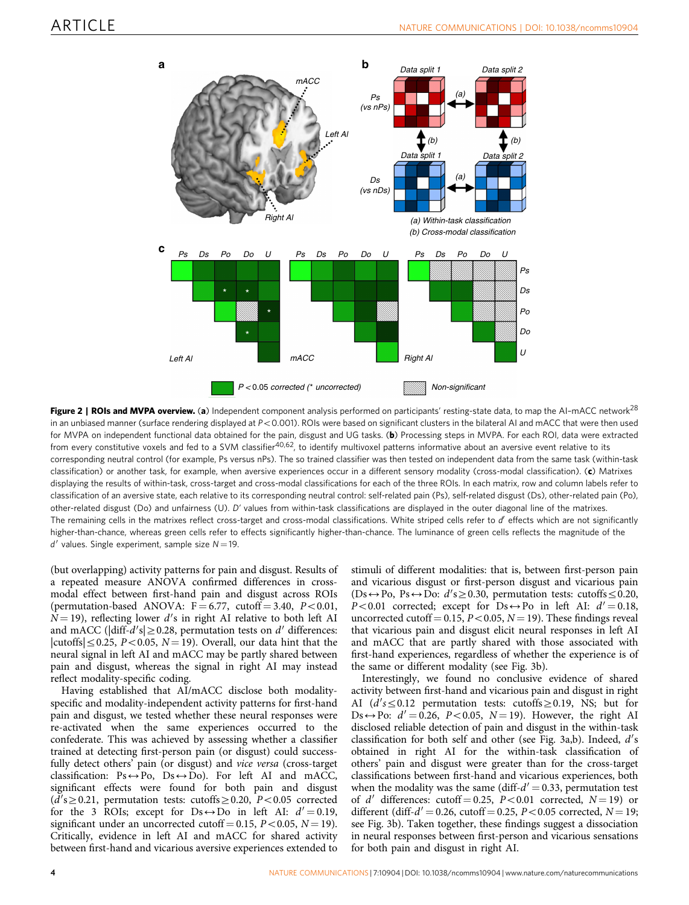<span id="page-3-0"></span>

Figure 2 | ROIs and MVPA overview. (a) Independent component analysis performed on participants' resting-state data, to map the AI-mACC network<sup>[28](#page-10-0)</sup> in an unbiased manner (surface rendering displayed at  $P < 0.001$ ). ROIs were based on significant clusters in the bilateral AI and mACC that were then used for MVPA on independent functional data obtained for the pain, disgust and UG tasks. (b) Processing steps in MVPA. For each ROI, data were extracted from every constitutive voxels and fed to a SVM classifier<sup>40,62</sup>, to identify multivoxel patterns informative about an aversive event relative to its corresponding neutral control (for example, Ps versus nPs). The so trained classifier was then tested on independent data from the same task (within-task classification) or another task, for example, when aversive experiences occur in a different sensory modality (cross-modal classification). (c) Matrixes displaying the results of within-task, cross-target and cross-modal classifications for each of the three ROIs. In each matrix, row and column labels refer to classification of an aversive state, each relative to its corresponding neutral control: self-related pain (Ps), self-related disgust (Ds), other-related pain (Po), other-related disgust (Do) and unfairness (U). D' values from within-task classifications are displayed in the outer diagonal line of the matrixes. The remaining cells in the matrixes reflect cross-target and cross-modal classifications. White striped cells refer to d' effects which are not significantly higher-than-chance, whereas green cells refer to effects significantly higher-than-chance. The luminance of green cells reflects the magnitude of the  $d'$  values. Single experiment, sample size  $N = 19$ .

(but overlapping) activity patterns for pain and disgust. Results of a repeated measure ANOVA confirmed differences in crossmodal effect between first-hand pain and disgust across ROIs (permutation-based ANOVA:  $F = 6.77$ , cutoff  $= 3.40$ ,  $P < 0.01$ ,  $N=19$ ), reflecting lower d's in right AI relative to both left AI and mACC ( $\left| \text{diff-}d' s \right| \geq 0.28$ , permutation tests on  $d'$  differences:  $|{\rm cutoffs}| \leq 0.25$ ,  $P < 0.05$ ,  $N = 19$ ). Overall, our data hint that the neural signal in left AI and mACC may be partly shared between pain and disgust, whereas the signal in right AI may instead reflect modality-specific coding.

Having established that AI/mACC disclose both modalityspecific and modality-independent activity patterns for first-hand pain and disgust, we tested whether these neural responses were re-activated when the same experiences occurred to the confederate. This was achieved by assessing whether a classifier trained at detecting first-person pain (or disgust) could successfully detect others' pain (or disgust) and vice versa (cross-target classification:  $Ps \leftrightarrow Po$ ,  $Ds \leftrightarrow Do$ ). For left AI and mACC, significant effects were found for both pain and disgust  $(d's \ge 0.21$ , permutation tests: cutoffs $\ge 0.20$ ,  $P < 0.05$  corrected for the 3 ROIs; except for  $Ds \leftrightarrow Do$  in left AI:  $d' = 0.19$ , significant under an uncorrected cutoff = 0.15,  $P < 0.05$ ,  $N = 19$ ). Critically, evidence in left AI and mACC for shared activity between first-hand and vicarious aversive experiences extended to

stimuli of different modalities: that is, between first-person pain and vicarious disgust or first-person disgust and vicarious pain (Ds  $\leftrightarrow$  Po, Ps $\leftrightarrow$  Do:  $d's \ge 0.30$ , permutation tests: cutoffs  $\le 0.20$ ,  $P<0.01$  corrected; except for  $Ds \leftrightarrow Po$  in left AI:  $d' = 0.18$ , uncorrected cutoff = 0.15,  $P < 0.05$ ,  $N = 19$ ). These findings reveal that vicarious pain and disgust elicit neural responses in left AI and mACC that are partly shared with those associated with first-hand experiences, regardless of whether the experience is of the same or different modality (see [Fig. 3b](#page-5-0)).

Interestingly, we found no conclusive evidence of shared activity between first-hand and vicarious pain and disgust in right AI  $(d's \leq 0.12$  permutation tests: cutoffs  $\geq 0.19$ , NS; but for Ds $\leftrightarrow$ Po:  $d' = 0.26$ , P<0.05, N = 19). However, the right AI disclosed reliable detection of pain and disgust in the within-task classification for both self and other (see [Fig. 3a,b\)](#page-5-0). Indeed, d's obtained in right AI for the within-task classification of others' pain and disgust were greater than for the cross-target classifications between first-hand and vicarious experiences, both when the modality was the same (diff- $d' = 0.33$ , permutation test of  $d'$  differences: cutoff = 0.25, P < 0.01 corrected, N = 19) or different (diff- $d' = 0.26$ , cutoff = 0.25, P < 0.05 corrected, N = 19; see [Fig. 3b\)](#page-5-0). Taken together, these findings suggest a dissociation in neural responses between first-person and vicarious sensations for both pain and disgust in right AI.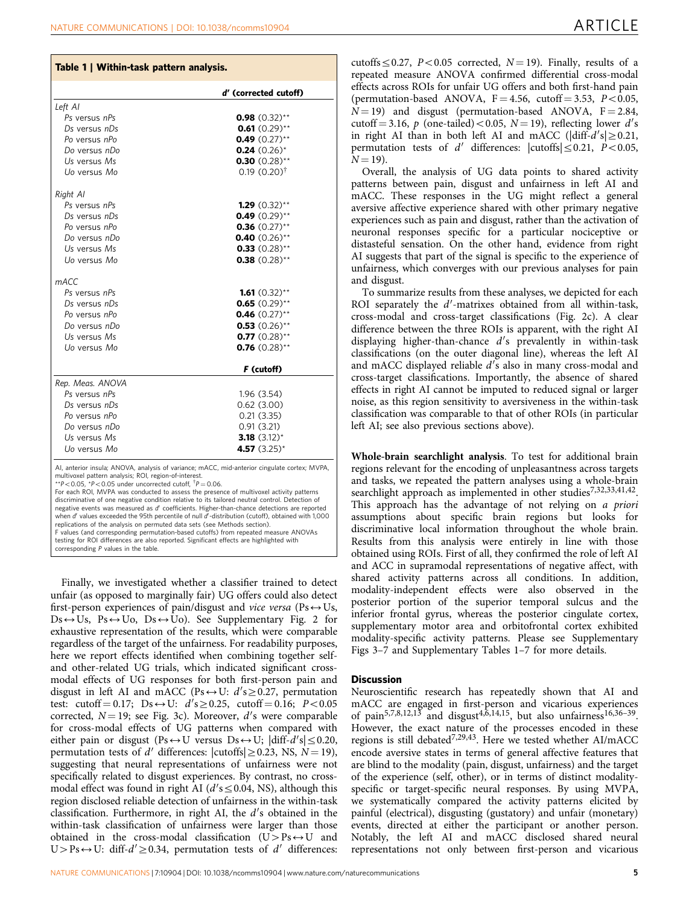<span id="page-4-0"></span>

| Table 1   Within-task pattern analysis. |                            |  |
|-----------------------------------------|----------------------------|--|
|                                         | d' (corrected cutoff)      |  |
| Left AI                                 |                            |  |
| Ps versus nPs                           | <b>0.98</b> $(0.32)$ **    |  |
| Ds versus nDs                           | $0.61(0.29)$ **            |  |
| Po versus nPo                           | $0.49$ (0.27)**            |  |
| Do versus nDo                           | $0.24$ (0.26) <sup>*</sup> |  |
| Us versus Ms                            | 0.30 $(0.28)$ **           |  |
| Uo versus Mo                            | $0.19(0.20)^{\dagger}$     |  |
| Right Al                                |                            |  |
| Ps versus nPs                           | 1.29 $(0.32)$ **           |  |
| Ds versus nDs                           | $0.49(0.29)$ **            |  |
| Po versus nPo                           | $0.36$ (0.27)**            |  |
| Do versus nDo                           | 0.40 $(0.26)$ **           |  |
| Us versus Ms                            | $0.33$ (0.28)**            |  |
| Uo versus Mo                            | $0.38$ (0.28)**            |  |
| mACC                                    |                            |  |
| Ps versus nPs                           | <b>1.61</b> $(0.32)$ **    |  |
| Ds versus nDs                           | $0.65$ (0.29)**            |  |
| Po versus nPo                           | $0.46$ (0.27)**            |  |
| Do versus nDo                           | $0.53$ (0.26)**            |  |
| Us versus Ms                            | $0.77$ (0.28)**            |  |
| Uo versus Mo                            | $0.76$ (0.28)**            |  |
|                                         | F (cutoff)                 |  |
| Rep. Meas. ANOVA                        |                            |  |
| Ps versus nPs                           | 1.96 (3.54)                |  |
| Ds versus nDs                           | 0.62(3.00)                 |  |
| Po versus nPo                           | 0.21(3.35)                 |  |
| Do versus nDo                           | 0.91(3.21)                 |  |
| Us versus Ms                            | 3.18 $(3.12)^*$            |  |
| Uo versus Mo                            | 4.57 $(3.25)$ <sup>*</sup> |  |

AI, anterior insula; ANOVA, analysis of variance; mACC, mid-anterior cingulate cortex; MVPA, multivoxel pattern analysis; ROI, region-of-interest.

\*\*P $< 0.05$ , \*P $< 0.05$  under uncorrected cutoff,  $\bar{p} = 0.06$ .

For each ROI, MVPA was conducted to assess the presence of multivoxel activity patterns discriminative of one negative condition relative to its tailored neutral control. Detection of negative events was measured as d' coefficients. Higher-than-chance detections are reported<br>when d' values exceeded the 95th percentile of null d'-distribution (cutoff), obtained with 1,000 replications of the analysis on permuted data sets (see Methods section). F values (and corresponding permutation-based cutoffs) from repeated measure ANOVAs testing for ROI differences are also reported. Significant effects are highlighted with corresponding  $P$  values in the table

Finally, we investigated whether a classifier trained to detect unfair (as opposed to marginally fair) UG offers could also detect first-person experiences of pain/disgust and vice versa (Ps $\leftrightarrow$ Us,  $Ds \leftrightarrow Us$ ,  $Ps \leftrightarrow Uo$ ,  $Ds \leftrightarrow \bar{U}o$ ). See Supplementary Fig. 2 for exhaustive representation of the results, which were comparable regardless of the target of the unfairness. For readability purposes, here we report effects identified when combining together selfand other-related UG trials, which indicated significant crossmodal effects of UG responses for both first-person pain and disgust in left AI and mACC (Ps $\leftrightarrow$  U:  $d's \ge 0.27$ , permutation test: cutoff = 0.17; Ds  $\leftrightarrow$  U:  $d's \ge 0.25$ , cutoff = 0.16; P < 0.05 corrected,  $N = 19$ ; see [Fig. 3c](#page-5-0)). Moreover,  $d'$ s were comparable for cross-modal effects of UG patterns when compared with either pain or disgust (Ps $\leftrightarrow$ U versus Ds $\leftrightarrow$ U;  $|diff-d's| \leq 0.20$ , permutation tests of d' differences:  $|{\rm cutoffs}| \ge 0.23$ , NS,  $N = 19$ ), suggesting that neural representations of unfairness were not specifically related to disgust experiences. By contrast, no crossmodal effect was found in right AI ( $d's \le 0.04$ , NS), although this region disclosed reliable detection of unfairness in the within-task classification. Furthermore, in right AI, the  $d'$ s obtained in the within-task classification of unfairness were larger than those obtained in the cross-modal classification  $(U > Ps \leftrightarrow U$  and  $U > Ps \leftrightarrow U$ : diff- $d' \ge 0.34$ , permutation tests of d' differences:

cutoffs  $\leq 0.27$ , P $< 0.05$  corrected, N = 19). Finally, results of a repeated measure ANOVA confirmed differential cross-modal effects across ROIs for unfair UG offers and both first-hand pain (permutation-based ANOVA,  $F = 4.56$ , cutoff  $= 3.53$ ,  $P < 0.05$ ,  $N = 19$ ) and disgust (permutation-based ANOVA,  $F = 2.84$ , cutoff = 3.16, p (one-tailed) < 0.05, N = 19), reflecting lower  $d$ 's in right AI than in both left AI and mACC ( $\left|\text{diff-}d'\text{s}\right|\geq 0.21$ , permutation tests of d' differences:  $|cutoffs| \le 0.21$ ,  $P < 0.05$ ,  $N = 19$ ).

Overall, the analysis of UG data points to shared activity patterns between pain, disgust and unfairness in left AI and mACC. These responses in the UG might reflect a general aversive affective experience shared with other primary negative experiences such as pain and disgust, rather than the activation of neuronal responses specific for a particular nociceptive or distasteful sensation. On the other hand, evidence from right AI suggests that part of the signal is specific to the experience of unfairness, which converges with our previous analyses for pain and disgust.

To summarize results from these analyses, we depicted for each ROI separately the  $d'$ -matrixes obtained from all within-task, cross-modal and cross-target classifications ([Fig. 2c](#page-3-0)). A clear difference between the three ROIs is apparent, with the right AI displaying higher-than-chance  $d'$ s prevalently in within-task classifications (on the outer diagonal line), whereas the left AI and mACC displayed reliable  $d$ 's also in many cross-modal and cross-target classifications. Importantly, the absence of shared effects in right AI cannot be imputed to reduced signal or larger noise, as this region sensitivity to aversiveness in the within-task classification was comparable to that of other ROIs (in particular left AI; see also previous sections above).

Whole-brain searchlight analysis. To test for additional brain regions relevant for the encoding of unpleasantness across targets and tasks, we repeated the pattern analyses using a whole-brain searchlight approach as implemented in other studies<sup>7,32,33,41,42</sup>. This approach has the advantage of not relying on a priori assumptions about specific brain regions but looks for discriminative local information throughout the whole brain. Results from this analysis were entirely in line with those obtained using ROIs. First of all, they confirmed the role of left AI and ACC in supramodal representations of negative affect, with shared activity patterns across all conditions. In addition, modality-independent effects were also observed in the posterior portion of the superior temporal sulcus and the inferior frontal gyrus, whereas the posterior cingulate cortex, supplementary motor area and orbitofrontal cortex exhibited modality-specific activity patterns. Please see Supplementary Figs 3–7 and Supplementary Tables 1–7 for more details.

### **Discussion**

Neuroscientific research has repeatedly shown that AI and mACC are engaged in first-person and vicarious experiences of pain<sup>5,7,8,12,13</sup> and disgust<sup>4,6,14,15</sup>, but also unfairness<sup>16,36–39</sup>. However, the exact nature of the processes encoded in these regions is still debated<sup>7,29,43</sup>. Here we tested whether AI/mACC encode aversive states in terms of general affective features that are blind to the modality (pain, disgust, unfairness) and the target of the experience (self, other), or in terms of distinct modalityspecific or target-specific neural responses. By using MVPA, we systematically compared the activity patterns elicited by painful (electrical), disgusting (gustatory) and unfair (monetary) events, directed at either the participant or another person. Notably, the left AI and mACC disclosed shared neural representations not only between first-person and vicarious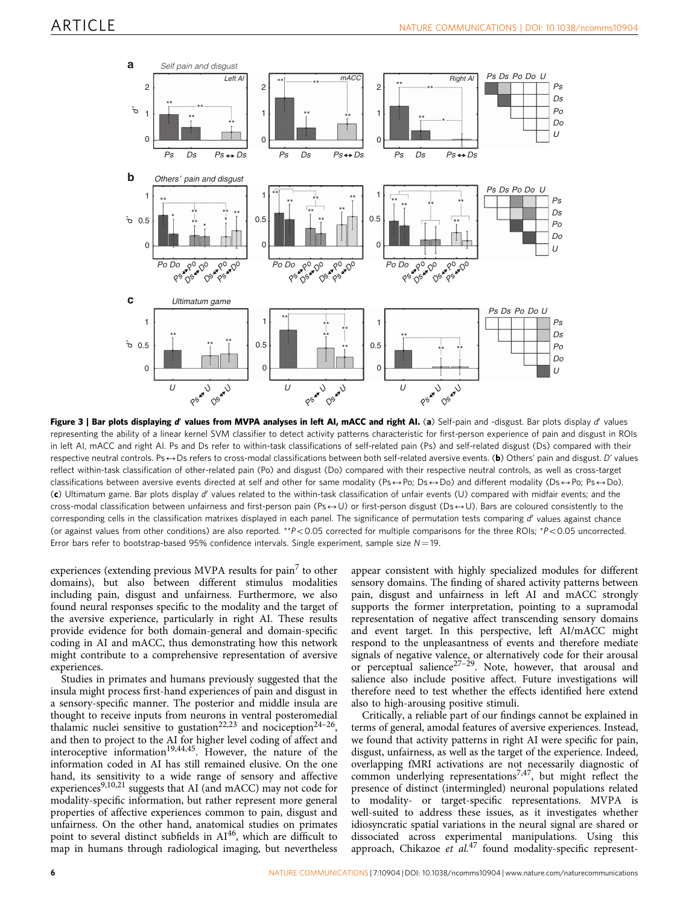<span id="page-5-0"></span>

Figure 3 | Bar plots displaying d' values from MVPA analyses in left AI, mACC and right AI. (a) Self-pain and -disgust. Bar plots display d' values representing the ability of a linear kernel SVM classifier to detect activity patterns characteristic for first-person experience of pain and disgust in ROIs in left AI, mACC and right AI. Ps and Ds refer to within-task classifications of self-related pain (Ps) and self-related disgust (Ds) compared with their respective neutral controls. Ps $\leftrightarrow$  Ds refers to cross-modal classifications between both self-related aversive events. (b) Others' pain and disgust. D' values reflect within-task classification of other-related pain (Po) and disgust (Do) compared with their respective neutral controls, as well as cross-target classifications between aversive events directed at self and other for same modality (Ps $\leftrightarrow$ Po; Ds $\leftrightarrow$ Do) and different modality (Ds $\leftrightarrow$ Po; Ps $\leftrightarrow$ Do). (c) Ultimatum game. Bar plots display d' values related to the within-task classification of unfair events (U) compared with midfair events; and the cross-modal classification between unfairness and first-person pain (Ps $\leftrightarrow$ U) or first-person disgust (Ds $\leftrightarrow$ U). Bars are coloured consistently to the corresponding cells in the classification matrixes displayed in each panel. The significance of permutation tests comparing d'values against chance (or against values from other conditions) are also reported. \*\*P<0.05 corrected for multiple comparisons for the three ROIs; \*P<0.05 uncorrected. Error bars refer to bootstrap-based 95% confidence intervals. Single experiment, sample size  $N = 19$ .

experiences (extending previous MVPA results for  $\text{pain}^7$  $\text{pain}^7$  to other domains), but also between different stimulus modalities including pain, disgust and unfairness. Furthermore, we also found neural responses specific to the modality and the target of the aversive experience, particularly in right AI. These results provide evidence for both domain-general and domain-specific coding in AI and mACC, thus demonstrating how this network might contribute to a comprehensive representation of aversive experiences.

Studies in primates and humans previously suggested that the insula might process first-hand experiences of pain and disgust in a sensory-specific manner. The posterior and middle insula are thought to receive inputs from neurons in ventral posteromedial thalamic nuclei sensitive to gustation<sup>[22,23](#page-10-0)</sup> and nociception<sup>24-26</sup>, and then to project to the AI for higher level coding of affect and interoceptive information<sup>[19,44,45](#page-9-0)</sup>. However, the nature of the information coded in AI has still remained elusive. On the one hand, its sensitivity to a wide range of sensory and affective experiences<sup>[9,10,21](#page-9-0)</sup> suggests that AI (and mACC) may not code for modality-specific information, but rather represent more general properties of affective experiences common to pain, disgust and unfairness. On the other hand, anatomical studies on primates point to several distinct subfields in AI<sup>46</sup>, which are difficult to map in humans through radiological imaging, but nevertheless appear consistent with highly specialized modules for different sensory domains. The finding of shared activity patterns between pain, disgust and unfairness in left AI and mACC strongly supports the former interpretation, pointing to a supramodal representation of negative affect transcending sensory domains and event target. In this perspective, left AI/mACC might respond to the unpleasantness of events and therefore mediate signals of negative valence, or alternatively code for their arousal or perceptual salience<sup>27-29</sup>. Note, however, that arousal and salience also include positive affect. Future investigations will therefore need to test whether the effects identified here extend also to high-arousing positive stimuli.

Critically, a reliable part of our findings cannot be explained in terms of general, amodal features of aversive experiences. Instead, we found that activity patterns in right AI were specific for pain, disgust, unfairness, as well as the target of the experience. Indeed, overlapping fMRI activations are not necessarily diagnostic of common underlying representations<sup>[7,47](#page-9-0)</sup>, but might reflect the presence of distinct (intermingled) neuronal populations related to modality- or target-specific representations. MVPA is well-suited to address these issues, as it investigates whether idiosyncratic spatial variations in the neural signal are shared or dissociated across experimental manipulations. Using this approach, Chikazoe et  $al$ .<sup>[47](#page-10-0)</sup> found modality-specific represent-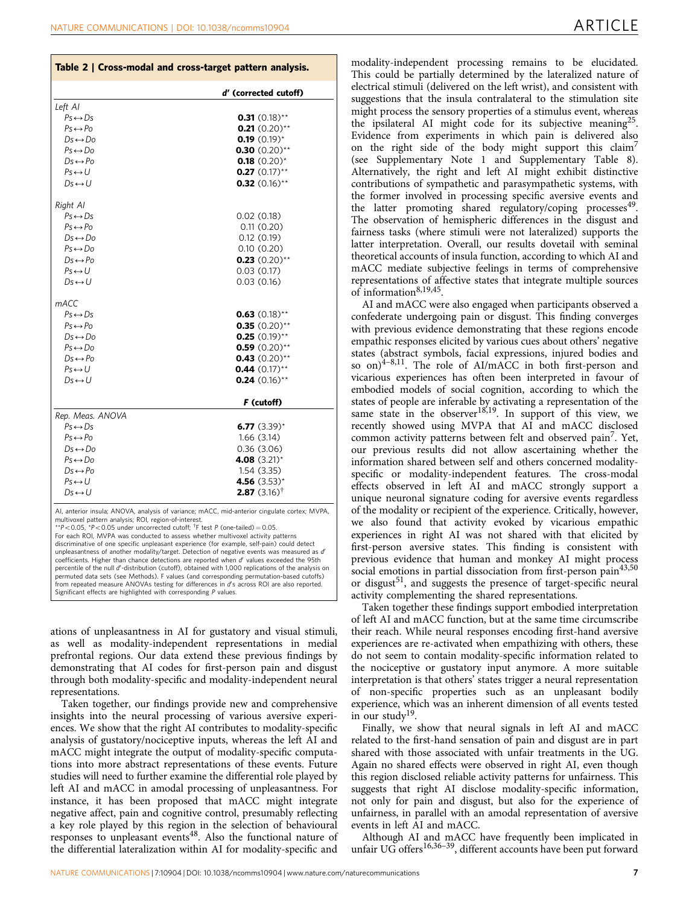<span id="page-6-0"></span>

|  |  |  | Table 2   Cross-modal and cross-target pattern analysis. |
|--|--|--|----------------------------------------------------------|
|--|--|--|----------------------------------------------------------|

|                         | d' (corrected cutoff)              |
|-------------------------|------------------------------------|
| Left AI                 |                                    |
| $Ps \leftrightarrow Ds$ | 0.31 $(0.18)$ **                   |
| $Ps \leftrightarrow Po$ | $0.21(0.20)$ **                    |
| $Ds \leftrightarrow Do$ | 0.19 $(0.19)^*$                    |
| $Ps \leftrightarrow Do$ | 0.30 $(0.20)$ **                   |
| $Ds \leftrightarrow Po$ | $0.18(0.20)$ *                     |
| $Ps \leftrightarrow U$  | $0.27$ (0.17)**                    |
| $Ds \leftrightarrow U$  | $0.32$ (0.16)**                    |
| Right Al                |                                    |
| $Ps \leftrightarrow Ds$ | 0.02(0.18)                         |
| $Ps \leftrightarrow Po$ | 0.11(0.20)                         |
| $Ds \leftrightarrow Do$ | 0.12(0.19)                         |
| $Ps \leftrightarrow Do$ | 0.10(0.20)                         |
| $Ds \leftrightarrow Po$ | $0.23$ (0.20)**                    |
| $Ps \leftrightarrow U$  | 0.03(0.17)                         |
| $Ds \leftrightarrow U$  | 0.03(0.16)                         |
| mACC                    |                                    |
| $Ps \leftrightarrow Ds$ | <b>0.63</b> $(0.18)$ <sup>**</sup> |
| $Ps \leftrightarrow Po$ | $0.35$ (0.20)**                    |
| $Ds \leftrightarrow Do$ | <b>0.25</b> $(0.19)$ **            |
| $Ps \leftrightarrow Do$ | $0.59$ (0.20)**                    |
| $Ds \leftrightarrow Po$ | $0.43$ (0.20)**                    |
| $Ps \leftrightarrow U$  | 0.44 $(0.17)$ **                   |
| $Ds \leftrightarrow U$  | $0.24$ (0.16)**                    |
|                         | F (cutoff)                         |
| Rep. Meas. ANOVA        |                                    |
| $Ps \leftrightarrow Ds$ | 6.77 $(3.39)^*$                    |
| $Ps \leftrightarrow Po$ | 1.66(3.14)                         |
| $Ds \leftrightarrow Do$ | 0.36(3.06)                         |
| $Ps \leftrightarrow Do$ | 4.08 $(3.21)$ <sup>*</sup>         |
| $Ds \leftrightarrow Po$ | 1.54(3.35)                         |
| $Ps \leftrightarrow U$  | 4.56 $(3.53)^*$                    |
| $Ds \leftrightarrow U$  | <b>2.87</b> (3.16) <sup>†</sup>    |
|                         |                                    |

AI, anterior insula; ANOVA, analysis of variance; mACC, mid-anterior cingulate cortex; MVPA, multivoxel pattern analysis; ROI, region-of-interest.

\*\*P<0.05, \*P<0.05 under uncorrected cutoff;  $\dagger$ F test P (one-tailed) = 0.05.

For each ROI, MVPA was conducted to assess whether multivoxel activity patterns discriminative of one specific unpleasant experience (for example, self-pain) could detect unpleasantness of another modality/target. Detection of negative events was measured as d coefficients. Higher than chance detections are reported when d' values exceeded the 95th percentile of the null d'-distribution (cutoff), obtained with 1,000 replications of the analysis on permuted data sets (see Methods). F values (and corresponding permutation-based cutoffs) from repeated measure ANOVAs testing for differences in d's across ROI are also reported. Significant effects are highlighted with corresponding P values.

ations of unpleasantness in AI for gustatory and visual stimuli, as well as modality-independent representations in medial prefrontal regions. Our data extend these previous findings by demonstrating that AI codes for first-person pain and disgust through both modality-specific and modality-independent neural representations.

Taken together, our findings provide new and comprehensive insights into the neural processing of various aversive experiences. We show that the right AI contributes to modality-specific analysis of gustatory/nociceptive inputs, whereas the left AI and mACC might integrate the output of modality-specific computations into more abstract representations of these events. Future studies will need to further examine the differential role played by left AI and mACC in amodal processing of unpleasantness. For instance, it has been proposed that mACC might integrate negative affect, pain and cognitive control, presumably reflecting a key role played by this region in the selection of behavioural responses to unpleasant events<sup>[48](#page-10-0)</sup>. Also the functional nature of the differential lateralization within AI for modality-specific and

modality-independent processing remains to be elucidated. This could be partially determined by the lateralized nature of electrical stimuli (delivered on the left wrist), and consistent with suggestions that the insula contralateral to the stimulation site might process the sensory properties of a stimulus event, whereas the ipsilateral AI might code for its subjective meaning<sup>25</sup>. Evidence from experiments in which pain is delivered also on the right side of the body might support this claim<sup>7</sup> (see Supplementary Note 1 and Supplementary Table 8). Alternatively, the right and left AI might exhibit distinctive contributions of sympathetic and parasympathetic systems, with the former involved in processing specific aversive events and the latter promoting shared regulatory/coping processes $49$ . The observation of hemispheric differences in the disgust and fairness tasks (where stimuli were not lateralized) supports the latter interpretation. Overall, our results dovetail with seminal theoretical accounts of insula function, according to which AI and mACC mediate subjective feelings in terms of comprehensive representations of affective states that integrate multiple sources of information $8,19,45$ .

AI and mACC were also engaged when participants observed a confederate undergoing pain or disgust. This finding converges with previous evidence demonstrating that these regions encode empathic responses elicited by various cues about others' negative states (abstract symbols, facial expressions, injured bodies and so on) $4-8,11$ . The role of AI/mACC in both first-person and vicarious experiences has often been interpreted in favour of embodied models of social cognition, according to which the states of people are inferable by activating a representation of the same state in the observer<sup>[18,19](#page-9-0)</sup>. In support of this view, we recently showed using MVPA that AI and mACC disclosed common activity patterns between felt and observed pain<sup>[7](#page-9-0)</sup>. Yet, our previous results did not allow ascertaining whether the information shared between self and others concerned modalityspecific or modality-independent features. The cross-modal effects observed in left AI and mACC strongly support a unique neuronal signature coding for aversive events regardless of the modality or recipient of the experience. Critically, however, we also found that activity evoked by vicarious empathic experiences in right AI was not shared with that elicited by first-person aversive states. This finding is consistent with previous evidence that human and monkey AI might process social emotions in partial dissociation from first-person pain<sup>[43,50](#page-10-0)</sup> or disgust<sup>[51](#page-10-0)</sup>, and suggests the presence of target-specific neural activity complementing the shared representations.

Taken together these findings support embodied interpretation of left AI and mACC function, but at the same time circumscribe their reach. While neural responses encoding first-hand aversive experiences are re-activated when empathizing with others, these do not seem to contain modality-specific information related to the nociceptive or gustatory input anymore. A more suitable interpretation is that others' states trigger a neural representation of non-specific properties such as an unpleasant bodily experience, which was an inherent dimension of all events tested in our study<sup>19</sup>.

Finally, we show that neural signals in left AI and mACC related to the first-hand sensation of pain and disgust are in part shared with those associated with unfair treatments in the UG. Again no shared effects were observed in right AI, even though this region disclosed reliable activity patterns for unfairness. This suggests that right AI disclose modality-specific information, not only for pain and disgust, but also for the experience of unfairness, in parallel with an amodal representation of aversive events in left AI and mACC.

Although AI and mACC have frequently been implicated in unfair UG offers<sup>16,36-39</sup>, different accounts have been put forward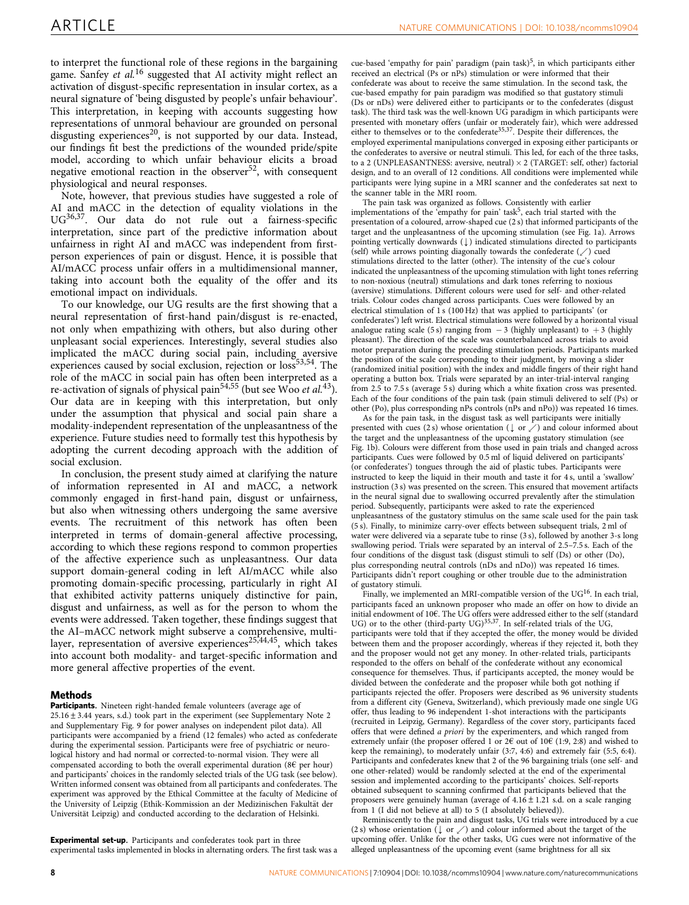to interpret the functional role of these regions in the bargaining game. Sanfey et  $al$ <sup>[16](#page-9-0)</sup> suggested that AI activity might reflect an activation of disgust-specific representation in insular cortex, as a neural signature of 'being disgusted by people's unfair behaviour'. This interpretation, in keeping with accounts suggesting how representations of unmoral behaviour are grounded on personal disgusting experiences<sup>20</sup>, is not supported by our data. Instead, our findings fit best the predictions of the wounded pride/spite model, according to which unfair behaviour elicits a broad negative emotional reaction in the observer<sup>[52](#page-10-0)</sup>, with consequent physiological and neural responses.

Note, however, that previous studies have suggested a role of AI and mACC in the detection of equality violations in the UG[36,37](#page-10-0). Our data do not rule out a fairness-specific interpretation, since part of the predictive information about unfairness in right AI and mACC was independent from firstperson experiences of pain or disgust. Hence, it is possible that AI/mACC process unfair offers in a multidimensional manner, taking into account both the equality of the offer and its emotional impact on individuals.

To our knowledge, our UG results are the first showing that a neural representation of first-hand pain/disgust is re-enacted, not only when empathizing with others, but also during other unpleasant social experiences. Interestingly, several studies also implicated the mACC during social pain, including aversive experiences caused by social exclusion, rejection or loss<sup>53,54</sup>. The role of the mACC in social pain has often been interpreted as a re-activation of signals of physical pain<sup>54,55</sup> (but see Woo et al.<sup>[43](#page-10-0)</sup>). Our data are in keeping with this interpretation, but only under the assumption that physical and social pain share a modality-independent representation of the unpleasantness of the experience. Future studies need to formally test this hypothesis by adopting the current decoding approach with the addition of social exclusion.

In conclusion, the present study aimed at clarifying the nature of information represented in AI and mACC, a network commonly engaged in first-hand pain, disgust or unfairness, but also when witnessing others undergoing the same aversive events. The recruitment of this network has often been interpreted in terms of domain-general affective processing, according to which these regions respond to common properties of the affective experience such as unpleasantness. Our data support domain-general coding in left AI/mACC while also promoting domain-specific processing, particularly in right AI that exhibited activity patterns uniquely distinctive for pain, disgust and unfairness, as well as for the person to whom the events were addressed. Taken together, these findings suggest that the AI–mACC network might subserve a comprehensive, multilayer, representation of aversive experiences<sup>25,44,45</sup>, which takes into account both modality- and target-specific information and more general affective properties of the event.

### Methods

Participants. Nineteen right-handed female volunteers (average age of  $25.16 \pm 3.44$  years, s.d.) took part in the experiment (see Supplementary Note 2 and Supplementary Fig. 9 for power analyses on independent pilot data). All participants were accompanied by a friend (12 females) who acted as confederate during the experimental session. Participants were free of psychiatric or neurological history and had normal or corrected-to-normal vision. They were all compensated according to both the overall experimental duration (8 $\epsilon$  per hour) and participants' choices in the randomly selected trials of the UG task (see below). Written informed consent was obtained from all participants and confederates. The experiment was approved by the Ethical Committee at the faculty of Medicine of the University of Leipzig (Ethik-Kommission an der Medizinischen Fakultät der Universität Leipzig) and conducted according to the declaration of Helsinki.

Experimental set-up. Participants and confederates took part in three experimental tasks implemented in blocks in alternating orders. The first task was a

cue-based 'empathy for pain' paradigm (pain task)<sup>5</sup>, in which participants either received an electrical (Ps or nPs) stimulation or were informed that their confederate was about to receive the same stimulation. In the second task, the cue-based empathy for pain paradigm was modified so that gustatory stimuli (Ds or nDs) were delivered either to participants or to the confederates (disgust task). The third task was the well-known  $\overrightarrow{UG}$  paradigm in which participants were presented with monetary offers (unfair or moderately fair), which were addressed either to themselves or to the confederate<sup>[35,37](#page-10-0)</sup>. Despite their differences, the employed experimental manipulations converged in exposing either participants or the confederates to aversive or neutral stimuli. This led, for each of the three tasks, to a 2 (UNPLEASANTNESS: aversive, neutral)  $\times$  2 (TARGET: self, other) factorial design, and to an overall of 12 conditions. All conditions were implemented while participants were lying supine in a MRI scanner and the confederates sat next to the scanner table in the MRI room.

The pain task was organized as follows. Consistently with earlier implementations of the 'empathy for pain' task<sup>[5](#page-9-0)</sup>, each trial started with the presentation of a coloured, arrow-shaped cue (2 s) that informed participants of the target and the unpleasantness of the upcoming stimulation (see [Fig. 1a\)](#page-2-0). Arrows pointing vertically downwards  $(\downarrow)$  indicated stimulations directed to participants (self) while arrows pointing diagonally towards the confederate  $(\angle)$  cued stimulations directed to the latter (other). The intensity of the cue's colour indicated the unpleasantness of the upcoming stimulation with light tones referring to non-noxious (neutral) stimulations and dark tones referring to noxious (aversive) stimulations. Different colours were used for self- and other-related trials. Colour codes changed across participants. Cues were followed by an electrical stimulation of 1 s (100 Hz) that was applied to participants' (or confederates') left wrist. Electrical stimulations were followed by a horizontal visual analogue rating scale (5 s) ranging from  $-3$  (highly unpleasant) to  $+3$  (highly pleasant). The direction of the scale was counterbalanced across trials to avoid motor preparation during the preceding stimulation periods. Participants marked the position of the scale corresponding to their judgment, by moving a slider (randomized initial position) with the index and middle fingers of their right hand operating a button box. Trials were separated by an inter-trial-interval ranging from 2.5 to 7.5 s (average 5 s) during which a white fixation cross was presented. Each of the four conditions of the pain task (pain stimuli delivered to self (Ps) or other (Po), plus corresponding nPs controls (nPs and nPo)) was repeated 16 times.

As for the pain task, in the disgust task as well participants were initially presented with cues (2 s) whose orientation ( $\downarrow$  or  $\swarrow$ ) and colour informed about the target and the unpleasantness of the upcoming gustatory stimulation (see [Fig. 1b](#page-2-0)). Colours were different from those used in pain trials and changed across participants. Cues were followed by 0.5 ml of liquid delivered on participants' (or confederates') tongues through the aid of plastic tubes. Participants were instructed to keep the liquid in their mouth and taste it for 4 s, until a 'swallow' instruction (3 s) was presented on the screen. This ensured that movement artifacts in the neural signal due to swallowing occurred prevalently after the stimulation period. Subsequently, participants were asked to rate the experienced unpleasantness of the gustatory stimulus on the same scale used for the pain task (5 s). Finally, to minimize carry-over effects between subsequent trials, 2 ml of water were delivered via a separate tube to rinse (3 s), followed by another 3-s long swallowing period. Trials were separated by an interval of 2.5–7.5 s. Each of the four conditions of the disgust task (disgust stimuli to self (Ds) or other (Do), plus corresponding neutral controls (nDs and nDo)) was repeated 16 times. Participants didn't report coughing or other trouble due to the administration of gustatory stimuli.

Finally, we implemented an MRI-compatible version of the  $UG^{16}$  $UG^{16}$  $UG^{16}$ . In each trial, participants faced an unknown proposer who made an offer on how to divide an initial endowment of 10€. The UG offers were addressed either to the self (standard UG) or to the other (third-party UG)<sup>[35,37](#page-10-0)</sup>. In self-related trials of the UG, participants were told that if they accepted the offer, the money would be divided between them and the proposer accordingly, whereas if they rejected it, both they and the proposer would not get any money. In other-related trials, participants responded to the offers on behalf of the confederate without any economical consequence for themselves. Thus, if participants accepted, the money would be divided between the confederate and the proposer while both got nothing if participants rejected the offer. Proposers were described as 96 university students from a different city (Geneva, Switzerland), which previously made one single UG offer, thus leading to 96 independent 1-shot interactions with the participants (recruited in Leipzig, Germany). Regardless of the cover story, participants faced offers that were defined a priori by the experimenters, and which ranged from extremely unfair (the proposer offered 1 or 2 $\epsilon$  out of 10 $\epsilon$  (1:9, 2:8) and wished to keep the remaining), to moderately unfair (3:7, 4:6) and extremely fair (5:5, 6:4). Participants and confederates knew that 2 of the 96 bargaining trials (one self- and one other-related) would be randomly selected at the end of the experimental session and implemented according to the participants' choices. Self-reports obtained subsequent to scanning confirmed that participants believed that the proposers were genuinely human (average of  $4.16 \pm 1.21$  s.d. on a scale ranging from 1 (I did not believe at all) to 5 (I absolutely believed)).

Reminiscently to the pain and disgust tasks, UG trials were introduced by a cue (2 s) whose orientation ( $\downarrow$  or  $\swarrow$ ) and colour informed about the target of the upcoming offer. Unlike for the other tasks, UG cues were not informative of the alleged unpleasantness of the upcoming event (same brightness for all six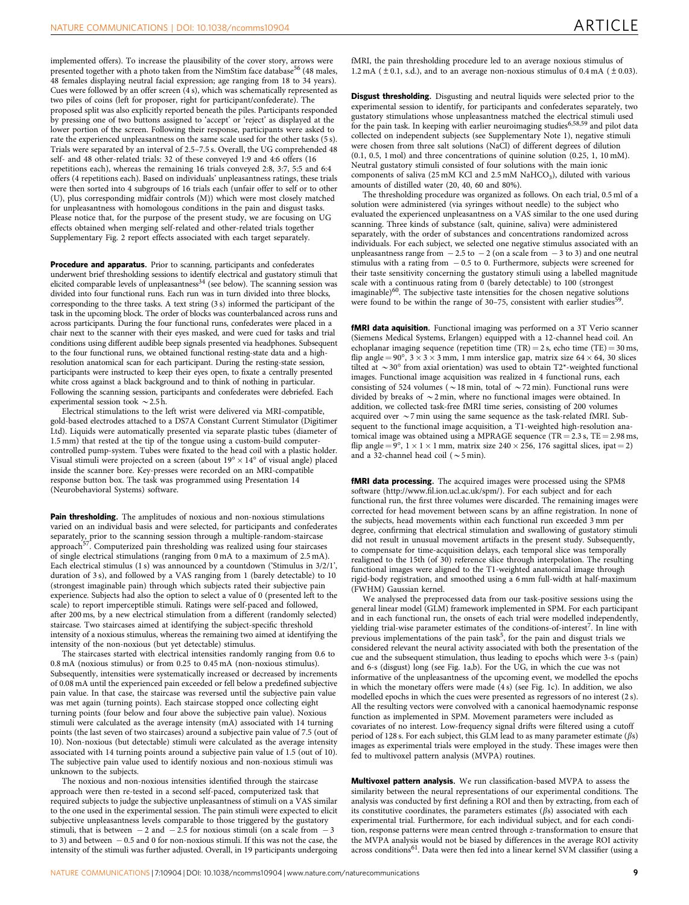implemented offers). To increase the plausibility of the cover story, arrows were presented together with a photo taken from the NimStim face database<sup>[56](#page-10-0)</sup> (48 males, 48 females displaying neutral facial expression; age ranging from 18 to 34 years). Cues were followed by an offer screen (4 s), which was schematically represented as two piles of coins (left for proposer, right for participant/confederate). The proposed split was also explicitly reported beneath the piles. Participants responded by pressing one of two buttons assigned to 'accept' or 'reject' as displayed at the lower portion of the screen. Following their response, participants were asked to rate the experienced unpleasantness on the same scale used for the other tasks (5 s). Trials were separated by an interval of 2.5–7.5 s. Overall, the UG comprehended 48 self- and 48 other-related trials: 32 of these conveyed 1:9 and 4:6 offers (16 repetitions each), whereas the remaining 16 trials conveyed 2:8, 3:7, 5:5 and 6:4 offers (4 repetitions each). Based on individuals' unpleasantness ratings, these trials were then sorted into 4 subgroups of 16 trials each (unfair offer to self or to other (U), plus corresponding midfair controls (M)) which were most closely matched for unpleasantness with homologous conditions in the pain and disgust tasks. Please notice that, for the purpose of the present study, we are focusing on UG effects obtained when merging self-related and other-related trials together Supplementary Fig. 2 report effects associated with each target separately.

Procedure and apparatus. Prior to scanning, participants and confederates underwent brief thresholding sessions to identify electrical and gustatory stimuli that elicited comparable levels of unpleasantness $34$  (see below). The scanning session was divided into four functional runs. Each run was in turn divided into three blocks, corresponding to the three tasks. A text string (3 s) informed the participant of the task in the upcoming block. The order of blocks was counterbalanced across runs and across participants. During the four functional runs, confederates were placed in a chair next to the scanner with their eyes masked, and were cued for tasks and trial conditions using different audible beep signals presented via headphones. Subsequent to the four functional runs, we obtained functional resting-state data and a highresolution anatomical scan for each participant. During the resting-state session, participants were instructed to keep their eyes open, to fixate a centrally presented white cross against a black background and to think of nothing in particular. Following the scanning session, participants and confederates were debriefed. Each experimental session took  $\sim$  2.5 h.

Electrical stimulations to the left wrist were delivered via MRI-compatible, gold-based electrodes attached to a DS7A Constant Current Stimulator (Digitimer Ltd). Liquids were automatically presented via separate plastic tubes (diameter of 1.5 mm) that rested at the tip of the tongue using a custom-build computercontrolled pump-system. Tubes were fixated to the head coil with a plastic holder. Visual stimuli were projected on a screen (about  $19^{\circ} \times 14^{\circ}$  of visual angle) placed inside the scanner bore. Key-presses were recorded on an MRI-compatible response button box. The task was programmed using Presentation 14 (Neurobehavioral Systems) software.

Pain thresholding. The amplitudes of noxious and non-noxious stimulations varied on an individual basis and were selected, for participants and confederates separately, prior to the scanning session through a multiple-random-staircase approach[57](#page-10-0). Computerized pain thresholding was realized using four staircases of single electrical stimulations (ranging from 0 mA to a maximum of 2.5 mA). Each electrical stimulus (1 s) was announced by a countdown ('Stimulus in 3/2/1', duration of 3 s), and followed by a VAS ranging from 1 (barely detectable) to 10 (strongest imaginable pain) through which subjects rated their subjective pain experience. Subjects had also the option to select a value of 0 (presented left to the scale) to report imperceptible stimuli. Ratings were self-paced and followed, after 200 ms, by a new electrical stimulation from a different (randomly selected) staircase. Two staircases aimed at identifying the subject-specific threshold intensity of a noxious stimulus, whereas the remaining two aimed at identifying the intensity of the non-noxious (but yet detectable) stimulus.

The staircases started with electrical intensities randomly ranging from 0.6 to 0.8 mA (noxious stimulus) or from 0.25 to 0.45 mA (non-noxious stimulus). Subsequently, intensities were systematically increased or decreased by increments of 0.08 mA until the experienced pain exceeded or fell below a predefined subjective pain value. In that case, the staircase was reversed until the subjective pain value was met again (turning points). Each staircase stopped once collecting eight turning points (four below and four above the subjective pain value). Noxious stimuli were calculated as the average intensity (mA) associated with 14 turning points (the last seven of two staircases) around a subjective pain value of 7.5 (out of 10). Non-noxious (but detectable) stimuli were calculated as the average intensity associated with 14 turning points around a subjective pain value of 1.5 (out of 10). The subjective pain value used to identify noxious and non-noxious stimuli was unknown to the subjects.

The noxious and non-noxious intensities identified through the staircase approach were then re-tested in a second self-paced, computerized task that required subjects to judge the subjective unpleasantness of stimuli on a VAS similar to the one used in the experimental session. The pain stimuli were expected to elicit subjective unpleasantness levels comparable to those triggered by the gustatory stimuli, that is between  $-2$  and  $-2.5$  for noxious stimuli (on a scale from  $-3$ to 3) and between  $-0.5$  and 0 for non-noxious stimuli. If this was not the case, the intensity of the stimuli was further adjusted. Overall, in 19 participants undergoing **Disgust thresholding.** Disgusting and neutral liquids were selected prior to the experimental session to identify, for participants and confederates separately, two gustatory stimulations whose unpleasantness matched the electrical stimuli used for the pain task. In keeping with earlier neuroimaging studies[6,58,59](#page-9-0) and pilot data collected on independent subjects (see Supplementary Note 1), negative stimuli were chosen from three salt solutions (NaCl) of different degrees of dilution (0.1, 0.5, 1 mol) and three concentrations of quinine solution (0.25, 1, 10 mM). Neutral gustatory stimuli consisted of four solutions with the main ionic components of saliva (25 mM KCl and 2.5 mM NaHCO<sub>3</sub>), diluted with various amounts of distilled water (20, 40, 60 and 80%).

The thresholding procedure was organized as follows. On each trial, 0.5 ml of a solution were administered (via syringes without needle) to the subject who evaluated the experienced unpleasantness on a VAS similar to the one used during scanning. Three kinds of substance (salt, quinine, saliva) were administered separately, with the order of substances and concentrations randomized across individuals. For each subject, we selected one negative stimulus associated with an unpleasantness range from  $-2.5$  to  $-2$  (on a scale from  $-3$  to 3) and one neutral stimulus with a rating from  $-0.5$  to 0. Furthermore, subjects were screened for their taste sensitivity concerning the gustatory stimuli using a labelled magnitude scale with a continuous rating from 0 (barely detectable) to 100 (strongest imaginable) $60$ . The subjective taste intensities for the chosen negative solutions were found to be within the range of 30–75, consistent with earlier studies<sup>[59](#page-10-0)</sup>.

fMRI data aquisition. Functional imaging was performed on a 3T Verio scanner (Siemens Medical Systems, Erlangen) equipped with a 12-channel head coil. An echoplanar imaging sequence (repetition time  $(TR) = 2$  s, echo time  $(TE) = 30$  ms, flip angle =  $90^{\circ}$ ,  $3 \times 3 \times 3$  mm, 1 mm interslice gap, matrix size  $64 \times 64$ , 30 slices tilted at  $\sim$  30° from axial orientation) was used to obtain T2\*-weighted functional images. Functional image acquisition was realized in 4 functional runs, each consisting of 524 volumes ( $\sim$  18 min, total of  $\sim$  72 min). Functional runs were divided by breaks of  $\sim$  2 min, where no functional images were obtained. In addition, we collected task-free fMRI time series, consisting of 200 volumes acquired over  $\sim$  7 min using the same sequence as the task-related fMRI. Subsequent to the functional image acquisition, a T1-weighted high-resolution anatomical image was obtained using a MPRAGE sequence (TR =  $2.3$  s, TE =  $2.98$  ms, flip angle =  $9^{\circ}$ ,  $1 \times 1 \times 1$  mm, matrix size 240  $\times$  256, 176 sagittal slices, ipat = 2) and a 32-channel head coil ( $\sim$  5 min).

fMRI data processing. The acquired images were processed using the SPM8 software ([http://www.fil.ion.ucl.ac.uk/spm/\)](http://www.fil.ion.ucl.ac.uk/spm/). For each subject and for each functional run, the first three volumes were discarded. The remaining images were corrected for head movement between scans by an affine registration. In none of the subjects, head movements within each functional run exceeded 3 mm per degree, confirming that electrical stimulation and swallowing of gustatory stimuli did not result in unusual movement artifacts in the present study. Subsequently, to compensate for time-acquisition delays, each temporal slice was temporally realigned to the 15th (of 30) reference slice through interpolation. The resulting functional images were aligned to the T1-weighted anatomical image through rigid-body registration, and smoothed using a 6 mm full-width at half-maximum (FWHM) Gaussian kernel.

We analysed the preprocessed data from our task-positive sessions using the general linear model (GLM) framework implemented in SPM. For each participant and in each functional run, the onsets of each trial were modelled independently, yielding trial-wise parameter estimates of the conditions-of-interest<sup>7</sup>. In line with previous implementations of the pain task<sup>[5](#page-9-0)</sup>, for the pain and disgust trials we considered relevant the neural activity associated with both the presentation of the cue and the subsequent stimulation, thus leading to epochs which were 3-s (pain) and 6-s (disgust) long (see [Fig. 1a,b](#page-2-0)). For the UG, in which the cue was not informative of the unpleasantness of the upcoming event, we modelled the epochs in which the monetary offers were made (4 s) (see [Fig. 1c\)](#page-2-0). In addition, we also modelled epochs in which the cues were presented as regressors of no interest (2 s). All the resulting vectors were convolved with a canonical haemodynamic response function as implemented in SPM. Movement parameters were included as covariates of no interest. Low-frequency signal drifts were filtered using a cutoff period of 128 s. For each subject, this GLM lead to as many parameter estimate ( $\beta$ s) images as experimental trials were employed in the study. These images were then fed to multivoxel pattern analysis (MVPA) routines.

Multivoxel pattern analysis. We run classification-based MVPA to assess the similarity between the neural representations of our experimental conditions. The analysis was conducted by first defining a ROI and then by extracting, from each of its constitutive coordinates, the parameters estimates  $(\beta s)$  associated with each experimental trial. Furthermore, for each individual subject, and for each condition, response patterns were mean centred through z-transformation to ensure that the MVPA analysis would not be biased by differences in the average ROI activity across conditions<sup>[61](#page-10-0)</sup>. Data were then fed into a linear kernel SVM classifier (using a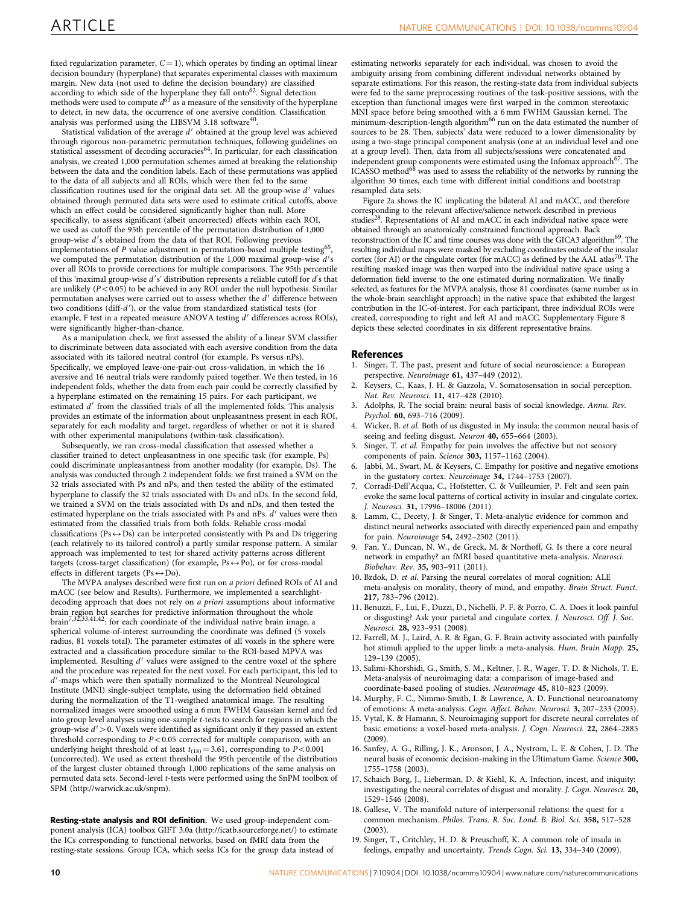<span id="page-9-0"></span>fixed regularization parameter,  $C = 1$ ), which operates by finding an optimal linear decision boundary (hyperplane) that separates experimental classes with maximum margin. New data (not used to define the decision boundary) are classified according to which side of the hyperplane they fall onto<sup>[62](#page-10-0)</sup>. Signal detection methods were used to compute  $d^{63}$  $d^{63}$  $d^{63}$  as a measure of the sensitivity of the hyperplane to detect, in new data, the occurrence of one aversive condition. Classification analysis was performed using the LIBSVM 3.18 software<sup>40</sup>.

Statistical validation of the average  $d'$  obtained at the group level was achieved through rigorous non-parametric permutation techniques, following guidelines on statistical assessment of decoding accuracies<sup>64</sup>. In particular, for each classification analysis, we created 1,000 permutation schemes aimed at breaking the relationship between the data and the condition labels. Each of these permutations was applied to the data of all subjects and all ROIs, which were then fed to the same classification routines used for the original data set. All the group-wise  $d'$  values obtained through permuted data sets were used to estimate critical cutoffs, above which an effect could be considered significantly higher than null. More specifically, to assess significant (albeit uncorrected) effects within each ROI, we used as cutoff the 95th percentile of the permutation distribution of 1,000 group-wise d's obtained from the data of that ROI. Following previous implementations of P value adjustment in permutation-based multiple testing<sup>[65](#page-10-0)</sup>, we computed the permutation distribution of the 1,000 maximal group-wise  $d'$ s over all ROIs to provide corrections for multiple comparisons. The 95th percentile of this 'maximal group-wise  $d$ 's' distribution represents a reliable cutoff for  $d'$ s that are unlikely  $(P < 0.05)$  to be achieved in any ROI under the null hypothesis. Similar permutation analyses were carried out to assess whether the  $d'$  difference between two conditions (diff-d'), or the value from standardized statistical tests (for example, F test in a repeated measure ANOVA testing  $d'$  differences across ROIs), were significantly higher-than-chance.

As a manipulation check, we first assessed the ability of a linear SVM classifier to discriminate between data associated with each aversive condition from the data associated with its tailored neutral control (for example, Ps versus nPs). Specifically, we employed leave-one-pair-out cross-validation, in which the 16 aversive and 16 neutral trials were randomly paired together. We then tested, in 16 independent folds, whether the data from each pair could be correctly classified by a hyperplane estimated on the remaining 15 pairs. For each participant, we estimated  $d'$  from the classified trials of all the implemented folds. This analysis provides an estimate of the information about unpleasantness present in each ROI, separately for each modality and target, regardless of whether or not it is shared with other experimental manipulations (within-task classification).

Subsequently, we ran cross-modal classification that assessed whether a classifier trained to detect unpleasantness in one specific task (for example, Ps) could discriminate unpleasantness from another modality (for example, Ds). The analysis was conducted through 2 independent folds: we first trained a SVM on the 32 trials associated with Ps and nPs, and then tested the ability of the estimated hyperplane to classify the 32 trials associated with Ds and nDs. In the second fold, we trained a SVM on the trials associated with Ds and nDs, and then tested the estimated hyperplane on the trials associated with Ps and nPs.  $d'$  values were then estimated from the classified trials from both folds. Reliable cross-modal classifications (Ps $\leftrightarrow$ Ds) can be interpreted consistently with Ps and Ds triggering (each relatively to its tailored control) a partly similar response pattern. A similar approach was implemented to test for shared activity patterns across different targets (cross-target classification) (for example,  $Ps \leftrightarrow Po$ ), or for cross-modal effects in different targets (Ps $\leftrightarrow$ Do).

The MVPA analyses described were first run on a priori defined ROIs of AI and mACC (see below and Results). Furthermore, we implemented a searchlightdecoding approach that does not rely on a priori assumptions about informative brain region but searches for predictive information throughout the whole brain7,32,33,41,42: for each coordinate of the individual native brain image, a spherical volume-of-interest surrounding the coordinate was defined (5 voxels radius, 81 voxels total). The parameter estimates of all voxels in the sphere were extracted and a classification procedure similar to the ROI-based MPVA was implemented. Resulting  $d'$  values were assigned to the centre voxel of the sphere and the procedure was repeated for the next voxel. For each participant, this led to  $d'$ -maps which were then spatially normalized to the Montreal Neurological Institute (MNI) single-subject template, using the deformation field obtained during the normalization of the T1-weigthed anatomical image. The resulting normalized images were smoothed using a 6 mm FWHM Gaussian kernel and fed into group level analyses using one-sample t-tests to search for regions in which the group-wise  $d' > 0$ . Voxels were identified as significant only if they passed an extent threshold corresponding to  $P<0.05$  corrected for multiple comparison, with an underlying height threshold of at least  $t_{(18)} = 3.61$ , corresponding to  $P < 0.001$ (uncorrected). We used as extent threshold the 95th percentile of the distribution of the largest cluster obtained through 1,000 replications of the same analysis on permuted data sets. Second-level t-tests were performed using the SnPM toolbox of SPM (<http://warwick.ac.uk/snpm>).

Resting-state analysis and ROI definition. We used group-independent component analysis (ICA) toolbox GIFT 3.0a [\(http://icatb.sourceforge.net/](http://icatb.sourceforge.net/)) to estimate the ICs corresponding to functional networks, based on fMRI data from the resting-state sessions. Group ICA, which seeks ICs for the group data instead of

estimating networks separately for each individual, was chosen to avoid the ambiguity arising from combining different individual networks obtained by separate estimations. For this reason, the resting-state data from individual subjects were fed to the same preprocessing routines of the task-positive sessions, with the exception than functional images were first warped in the common stereotaxic MNI space before being smoothed with a 6 mm FWHM Gaussian kernel. The minimum-description-length algorithm<sup>[66](#page-10-0)</sup> run on the data estimated the number of sources to be 28. Then, subjects' data were reduced to a lower dimensionality by using a two-stage principal component analysis (one at an individual level and one at a group level). Then, data from all subjects/sessions were concatenated and independent group components were estimated using the Infomax approach<sup>67</sup>. The ICASSO method<sup>[68](#page-10-0)</sup> was used to assess the reliability of the networks by running the algorithm 30 times, each time with different initial conditions and bootstrap resampled data sets.

[Figure 2a](#page-3-0) shows the IC implicating the bilateral AI and mACC, and therefore corresponding to the relevant affective/salience network described in previous studies<sup>28</sup>. Representations of AI and mACC in each individual native space were obtained through an anatomically constrained functional approach. Back reconstruction of the IC and time courses was done with the GICA3 algorithm<sup>69</sup>. The resulting individual maps were masked by excluding coordinates outside of the insular cortex (for AI) or the cingulate cortex (for mACC) as defined by the AAL atlas<sup>70</sup>. The resulting masked image was then warped into the individual native space using a deformation field inverse to the one estimated during normalization. We finally selected, as features for the MVPA analysis, those 81 coordinates (same number as in the whole-brain searchlight approach) in the native space that exhibited the largest contribution in the IC-of-interest. For each participant, three individual ROIs were created, corresponding to right and left AI and mACC. Supplementary Figure 8 depicts these selected coordinates in six different representative brains.

### References

- 1. Singer, T. The past, present and future of social neuroscience: a European perspective. Neuroimage 61, 437–449 (2012).
- 2. Keysers, C., Kaas, J. H. & Gazzola, V. Somatosensation in social perception. Nat. Rev. Neurosci. 11, 417–428 (2010).
- Adolphs, R. The social brain: neural basis of social knowledge. Annu. Rev. Psychol. 60, 693–716 (2009).
- 4. Wicker, B. et al. Both of us disgusted in My insula: the common neural basis of seeing and feeling disgust. Neuron 40, 655-664 (2003).
- Singer, T. et al. Empathy for pain involves the affective but not sensory components of pain. Science 303, 1157–1162 (2004).
- 6. Jabbi, M., Swart, M. & Keysers, C. Empathy for positive and negative emotions in the gustatory cortex. Neuroimage 34, 1744–1753 (2007).
- 7. Corradi-Dell'Acqua, C., Hofstetter, C. & Vuilleumier, P. Felt and seen pain evoke the same local patterns of cortical activity in insular and cingulate cortex. J. Neurosci. 31, 17996–18006 (2011).
- Lamm, C., Decety, J. & Singer, T. Meta-analytic evidence for common and distinct neural networks associated with directly experienced pain and empathy for pain. Neuroimage 54, 2492–2502 (2011).
- 9. Fan, Y., Duncan, N. W., de Greck, M. & Northoff, G. Is there a core neural network in empathy? an fMRI based quantitative meta-analysis. Neurosci. Biobehav. Rev. 35, 903–911 (2011).
- 10. Bzdok, D. et al. Parsing the neural correlates of moral cognition: ALE meta-analysis on morality, theory of mind, and empathy. Brain Struct. Funct. 217, 783–796 (2012).
- 11. Benuzzi, F., Lui, F., Duzzi, D., Nichelli, P. F. & Porro, C. A. Does it look painful or disgusting? Ask your parietal and cingulate cortex. J. Neurosci. Off. J. Soc. Neurosci. 28, 923–931 (2008).
- 12. Farrell, M. J., Laird, A. R. & Egan, G. F. Brain activity associated with painfully hot stimuli applied to the upper limb: a meta-analysis. Hum. Brain Mapp. 25, 129–139 (2005).
- 13. Salimi-Khorshidi, G., Smith, S. M., Keltner, J. R., Wager, T. D. & Nichols, T. E. Meta-analysis of neuroimaging data: a comparison of image-based and coordinate-based pooling of studies. Neuroimage 45, 810–823 (2009).
- 14. Murphy, F. C., Nimmo-Smith, I. & Lawrence, A. D. Functional neuroanatomy of emotions: A meta-analysis. Cogn. Affect. Behav. Neurosci. 3, 207–233 (2003).
- 15. Vytal, K. & Hamann, S. Neuroimaging support for discrete neural correlates of basic emotions: a voxel-based meta-analysis. J. Cogn. Neurosci. 22, 2864–2885 (2009).
- 16. Sanfey, A. G., Rilling, J. K., Aronson, J. A., Nystrom, L. E. & Cohen, J. D. The neural basis of economic decision-making in the Ultimatum Game. Science 300, 1755–1758 (2003).
- 17. Schaich Borg, J., Lieberman, D. & Kiehl, K. A. Infection, incest, and iniquity: investigating the neural correlates of disgust and morality. J. Cogn. Neurosci. 20, 1529–1546 (2008).
- 18. Gallese, V. The manifold nature of interpersonal relations: the quest for a common mechanism. Philos. Trans. R. Soc. Lond. B. Biol. Sci. 358, 517–528 (2003).
- 19. Singer, T., Critchley, H. D. & Preuschoff, K. A common role of insula in feelings, empathy and uncertainty. Trends Cogn. Sci. 13, 334–340 (2009).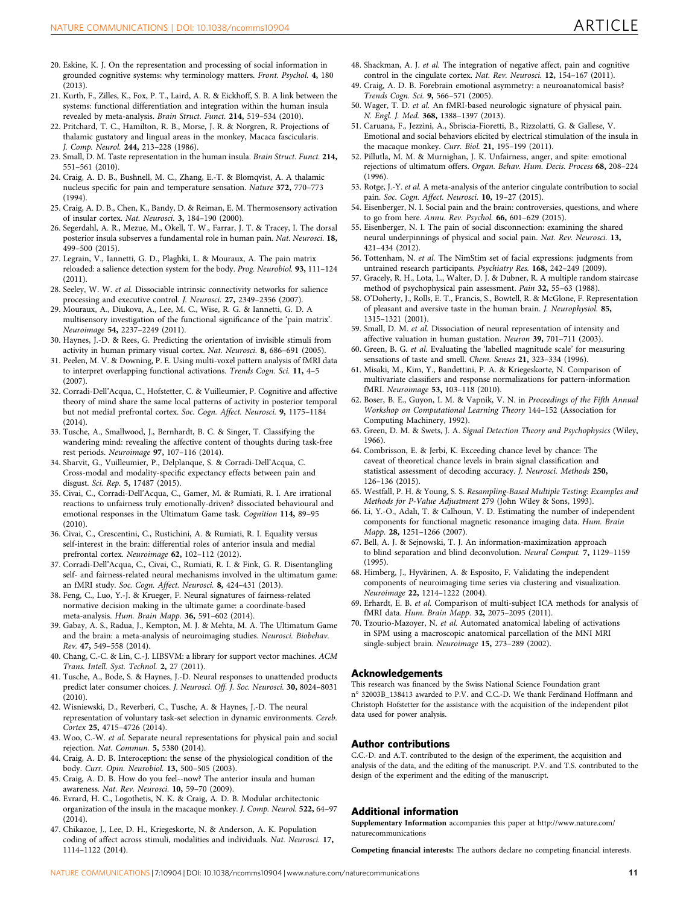- <span id="page-10-0"></span>20. Eskine, K. J. On the representation and processing of social information in grounded cognitive systems: why terminology matters. Front. Psychol. 4, 180 (2013).
- 21. Kurth, F., Zilles, K., Fox, P. T., Laird, A. R. & Eickhoff, S. B. A link between the systems: functional differentiation and integration within the human insula revealed by meta-analysis. Brain Struct. Funct. 214, 519–534 (2010).
- 22. Pritchard, T. C., Hamilton, R. B., Morse, J. R. & Norgren, R. Projections of thalamic gustatory and lingual areas in the monkey, Macaca fascicularis. J. Comp. Neurol. 244, 213–228 (1986).
- 23. Small, D. M. Taste representation in the human insula. Brain Struct. Funct. 214, 551–561 (2010).
- 24. Craig, A. D. B., Bushnell, M. C., Zhang, E.-T. & Blomqvist, A. A thalamic nucleus specific for pain and temperature sensation. Nature 372, 770–773  $(1994)$
- 25. Craig, A. D. B., Chen, K., Bandy, D. & Reiman, E. M. Thermosensory activation of insular cortex. Nat. Neurosci. 3, 184–190 (2000).
- 26. Segerdahl, A. R., Mezue, M., Okell, T. W., Farrar, J. T. & Tracey, I. The dorsal posterior insula subserves a fundamental role in human pain. Nat. Neurosci. 18, 499–500 (2015).
- 27. Legrain, V., Iannetti, G. D., Plaghki, L. & Mouraux, A. The pain matrix reloaded: a salience detection system for the body. Prog. Neurobiol. 93, 111–124  $(2011)$
- 28. Seeley, W. W. et al. Dissociable intrinsic connectivity networks for salience processing and executive control. J. Neurosci. 27, 2349–2356 (2007).
- 29. Mouraux, A., Diukova, A., Lee, M. C., Wise, R. G. & Iannetti, G. D. A multisensory investigation of the functional significance of the 'pain matrix'. Neuroimage 54, 2237–2249 (2011).
- 30. Haynes, J.-D. & Rees, G. Predicting the orientation of invisible stimuli from activity in human primary visual cortex. Nat. Neurosci. 8, 686–691 (2005).
- 31. Peelen, M. V. & Downing, P. E. Using multi-voxel pattern analysis of fMRI data to interpret overlapping functional activations. Trends Cogn. Sci. 11, 4-5  $(2007)$
- 32. Corradi-Dell'Acqua, C., Hofstetter, C. & Vuilleumier, P. Cognitive and affective theory of mind share the same local patterns of activity in posterior temporal but not medial prefrontal cortex. Soc. Cogn. Affect. Neurosci. 9, 1175–1184 (2014).
- 33. Tusche, A., Smallwood, J., Bernhardt, B. C. & Singer, T. Classifying the wandering mind: revealing the affective content of thoughts during task-free rest periods. Neuroimage 97, 107–116 (2014).
- 34. Sharvit, G., Vuilleumier, P., Delplanque, S. & Corradi-Dell'Acqua, C. Cross-modal and modality-specific expectancy effects between pain and disgust. Sci. Rep. 5, 17487 (2015).
- 35. Civai, C., Corradi-Dell'Acqua, C., Gamer, M. & Rumiati, R. I. Are irrational reactions to unfairness truly emotionally-driven? dissociated behavioural and emotional responses in the Ultimatum Game task. Cognition 114, 89–95  $(2010)$
- 36. Civai, C., Crescentini, C., Rustichini, A. & Rumiati, R. I. Equality versus self-interest in the brain: differential roles of anterior insula and medial prefrontal cortex. Neuroimage 62, 102–112 (2012).
- 37. Corradi-Dell'Acqua, C., Civai, C., Rumiati, R. I. & Fink, G. R. Disentangling self- and fairness-related neural mechanisms involved in the ultimatum game: an fMRI study. Soc. Cogn. Affect. Neurosci. 8, 424–431 (2013).
- 38. Feng, C., Luo, Y.-J. & Krueger, F. Neural signatures of fairness-related normative decision making in the ultimate game: a coordinate-based meta-analysis. Hum. Brain Mapp. 36, 591–602 (2014).
- 39. Gabay, A. S., Radua, J., Kempton, M. J. & Mehta, M. A. The Ultimatum Game and the brain: a meta-analysis of neuroimaging studies. Neurosci. Biobehav. Rev. 47, 549–558 (2014).
- 40. Chang, C.-C. & Lin, C.-J. LIBSVM: a library for support vector machines. ACM Trans. Intell. Syst. Technol. 2, 27 (2011).
- 41. Tusche, A., Bode, S. & Haynes, J.-D. Neural responses to unattended products predict later consumer choices. J. Neurosci. Off. J. Soc. Neurosci. 30, 8024–8031 (2010).
- 42. Wisniewski, D., Reverberi, C., Tusche, A. & Haynes, J.-D. The neural representation of voluntary task-set selection in dynamic environments. Cereb. Cortex 25, 4715–4726 (2014).
- 43. Woo, C.-W. et al. Separate neural representations for physical pain and social rejection. Nat. Commun. 5, 5380 (2014).
- 44. Craig, A. D. B. Interoception: the sense of the physiological condition of the body. Curr. Opin. Neurobiol. 13, 500–505 (2003).
- 45. Craig, A. D. B. How do you feel--now? The anterior insula and human awareness. Nat. Rev. Neurosci. 10, 59–70 (2009).
- 46. Evrard, H. C., Logothetis, N. K. & Craig, A. D. B. Modular architectonic organization of the insula in the macaque monkey. J. Comp. Neurol. 522, 64–97 (2014).
- 47. Chikazoe, J., Lee, D. H., Kriegeskorte, N. & Anderson, A. K. Population coding of affect across stimuli, modalities and individuals. Nat. Neurosci. 17, 1114–1122 (2014).
- 48. Shackman, A. J. et al. The integration of negative affect, pain and cognitive control in the cingulate cortex. Nat. Rev. Neurosci. 12, 154-167 (2011).
- 49. Craig, A. D. B. Forebrain emotional asymmetry: a neuroanatomical basis? Trends Cogn. Sci. 9, 566–571 (2005).
- 50. Wager, T. D. et al. An fMRI-based neurologic signature of physical pain. N. Engl. J. Med. 368, 1388–1397 (2013).
- 51. Caruana, F., Jezzini, A., Sbriscia-Fioretti, B., Rizzolatti, G. & Gallese, V. Emotional and social behaviors elicited by electrical stimulation of the insula in the macaque monkey. Curr. Biol. 21, 195–199 (2011).
- 52. Pillutla, M. M. & Murnighan, J. K. Unfairness, anger, and spite: emotional rejections of ultimatum offers. Organ. Behav. Hum. Decis. Process 68, 208–224  $(1996)$
- 53. Rotge, J.-Y. et al. A meta-analysis of the anterior cingulate contribution to social pain. Soc. Cogn. Affect. Neurosci. 10, 19–27 (2015).
- 54. Eisenberger, N. I. Social pain and the brain: controversies, questions, and where to go from here. Annu. Rev. Psychol. 66, 601–629 (2015).
- 55. Eisenberger, N. I. The pain of social disconnection: examining the shared neural underpinnings of physical and social pain. Nat. Rev. Neurosci. 13, 421–434 (2012).
- 56. Tottenham, N. et al. The NimStim set of facial expressions: judgments from untrained research participants. Psychiatry Res. 168, 242–249 (2009).
- 57. Gracely, R. H., Lota, L., Walter, D. J. & Dubner, R. A multiple random staircase method of psychophysical pain assessment. Pain 32, 55–63 (1988).
- 58. O'Doherty, J., Rolls, E. T., Francis, S., Bowtell, R. & McGlone, F. Representation of pleasant and aversive taste in the human brain. J. Neurophysiol. 85, 1315–1321 (2001).
- 59. Small, D. M. et al. Dissociation of neural representation of intensity and affective valuation in human gustation. Neuron 39, 701–711 (2003).
- 60. Green, B. G. et al. Evaluating the 'labelled magnitude scale' for measuring sensations of taste and smell. Chem. Senses 21, 323–334 (1996).
- 61. Misaki, M., Kim, Y., Bandettini, P. A. & Kriegeskorte, N. Comparison of multivariate classifiers and response normalizations for pattern-information fMRI. Neuroimage 53, 103–118 (2010).
- 62. Boser, B. E., Guyon, I. M. & Vapnik, V. N. in Proceedings of the Fifth Annual Workshop on Computational Learning Theory 144–152 (Association for Computing Machinery, 1992).
- 63. Green, D. M. & Swets, J. A. Signal Detection Theory and Psychophysics (Wiley, 1966).
- 64. Combrisson, E. & Jerbi, K. Exceeding chance level by chance: The caveat of theoretical chance levels in brain signal classification and statistical assessment of decoding accuracy. J. Neurosci. Methods 250, 126–136 (2015).
- 65. Westfall, P. H. & Young, S. S. Resampling-Based Multiple Testing: Examples and Methods for P-Value Adjustment 279 (John Wiley & Sons, 1993).
- 66. Li, Y.-O., Adalı, T. & Calhoun, V. D. Estimating the number of independent components for functional magnetic resonance imaging data. Hum. Brain Mapp. 28, 1251–1266 (2007).
- 67. Bell, A. J. & Sejnowski, T. J. An information-maximization approach to blind separation and blind deconvolution. Neural Comput. 7, 1129–1159 (1995).
- 68. Himberg, J., Hyvärinen, A. & Esposito, F. Validating the independent components of neuroimaging time series via clustering and visualization. Neuroimage 22, 1214–1222 (2004).
- 69. Erhardt, E. B. et al. Comparison of multi-subject ICA methods for analysis of fMRI data. Hum. Brain Mapp. 32, 2075–2095 (2011).
- 70. Tzourio-Mazoyer, N. et al. Automated anatomical labeling of activations in SPM using a macroscopic anatomical parcellation of the MNI MRI single-subject brain. Neuroimage 15, 273–289 (2002).

### Acknowledgements

This research was financed by the Swiss National Science Foundation grant n° 32003B\_138413 awarded to P.V. and C.C.-D. We thank Ferdinand Hoffmann and Christoph Hofstetter for the assistance with the acquisition of the independent pilot data used for power analysis.

### Author contributions

C.C.-D. and A.T. contributed to the design of the experiment, the acquisition and analysis of the data, and the editing of the manuscript. P.V. and T.S. contributed to the design of the experiment and the editing of the manuscript.

### Additional information

Supplementary Information accompanies this paper at [http://www.nature.com/](http://www.nature.com/naturecommunications) [naturecommunications](http://www.nature.com/naturecommunications)

Competing financial interests: The authors declare no competing financial interests.